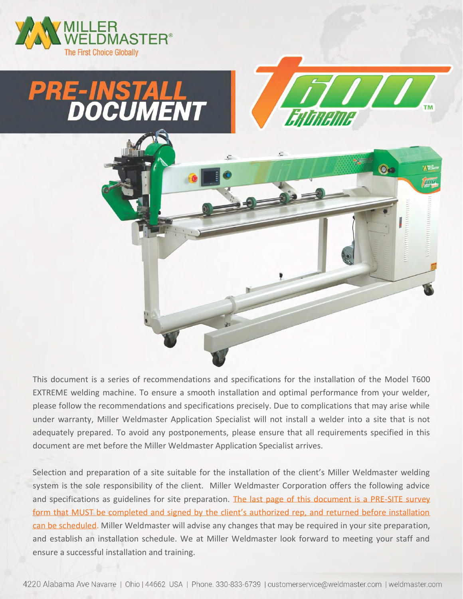





This document is a series of recommendations and specifications for the installation of the Model T600 EXTREME welding machine. To ensure a smooth installation and optimal performance from your welder, please follow the recommendations and specifications precisely. Due to complications that may arise while under warranty, Miller Weldmaster Application Specialist will not install a welder into a site that is not adequately prepared. To avoid any postponements, please ensure that all requirements specified in this document are met before the Miller Weldmaster Application Specialist arrives.

Selection and preparation of a site suitable for the installation of the client's Miller Weldmaster welding system is the sole responsibility of the client. Miller Weldmaster Corporation offers the following advice and specifications as guidelines for site preparation. The last page of this document is a PRE-SITE survey form that MUST be completed and signed by the client's authorized rep, and returned before installation can be scheduled. Miller Weldmaster will advise any changes that may be required in your site preparation, and establish an installation schedule. We at Miller Weldmaster look forward to meeting your staff and ensure a successful installation and training.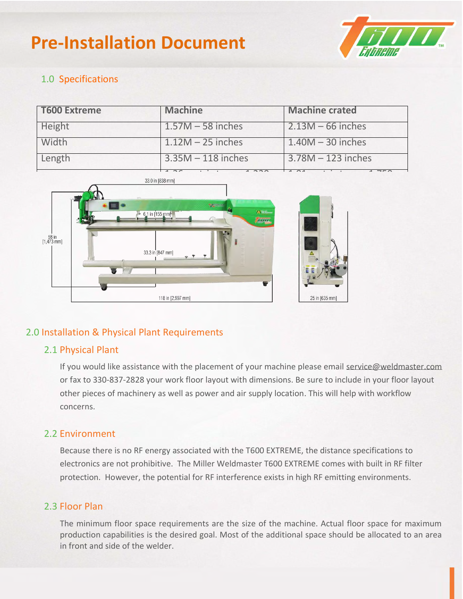

#### 1.0 Specifications

| <b>T600 Extreme</b> | <b>Machine</b>       | <b>Machine crated</b> |
|---------------------|----------------------|-----------------------|
| Height              | $1.57M - 58$ inches  | $2.13M - 66$ inches   |
| Width               | $1.12M - 25$ inches  | $1.40M - 30$ inches   |
| Length              | $3.35M - 118$ inches | $3.78M - 123$ inches  |



#### 2.0 Installation & Physical Plant Requirements

#### 2.1 Physical Plant

If you would like assistance with the placement of your machine please email service@weldmaster.com or fax to 330-837-2828 your work floor layout with dimensions. Be sure to include in your floor layout other pieces of machinery as well as power and air supply location. This will help with workflow concerns.

#### 2.2 Environment

Because there is no RF energy associated with the T600 EXTREME, the distance specifications to electronics are not prohibitive. The Miller Weldmaster T600 EXTREME comes with built in RF filter protection. However, the potential for RF interference exists in high RF emitting environments.

#### 2.3 Floor Plan

The minimum floor space requirements are the size of the machine. Actual floor space for maximum production capabilities is the desired goal. Most of the additional space should be allocated to an area in front and side of the welder.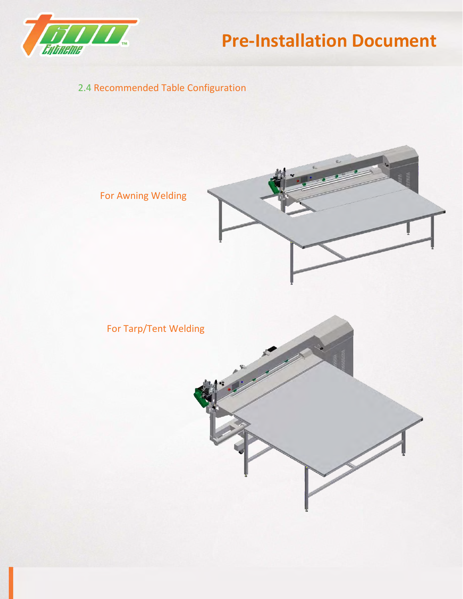

### 2.4 Recommended Table Configuration

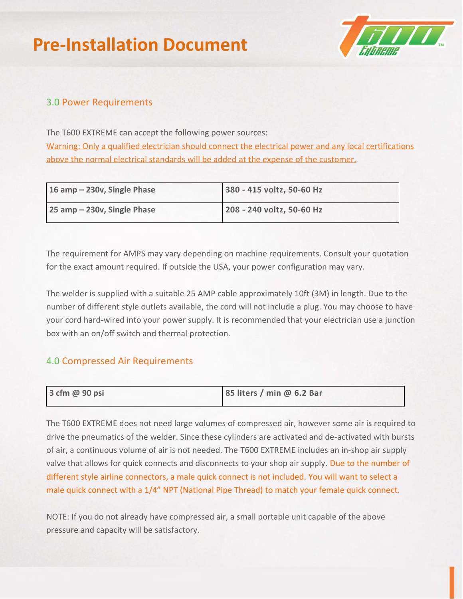

#### 3.0 Power Requirements

The T600 EXTREME can accept the following power sources:

Warning: Only a qualified electrician should connect the electrical power and any local certifications above the normal electrical standards will be added at the expense of the customer.

| 16 amp $-$ 230v, Single Phase | 380 - 415 voltz, 50-60 Hz |
|-------------------------------|---------------------------|
| 25 amp - 230v, Single Phase   | 208 - 240 voltz, 50-60 Hz |

The requirement for AMPS may vary depending on machine requirements. Consult your quotation for the exact amount required. If outside the USA, your power configuration may vary.

The welder is supplied with a suitable 25 AMP cable approximately 10ft (3M) in length. Due to the number of different style outlets available, the cord will not include a plug. You may choose to have your cord hard-wired into your power supply. It is recommended that your electrician use a junction box with an on/off switch and thermal protection.

#### A.0 Compressed Air Requirements and independent circuit ground with the circuit ground with the circuit ground  $\sim$

| 3 cfm @ 90 psi | 85 liters / min @ 6.2 Bar |  |
|----------------|---------------------------|--|

The T600 EXTREME does not need large volumes of compressed air, however some air is required to drive the pneumatics of the welder. Since these cylinders are activated and de-activated with bursts of air, a continuous volume of air is not needed. The T600 EXTREME includes an in-shop air supply valve that allows for quick connects and disconnects to your shop air supply. Due to the number of different style airline connectors, a male quick connect is not included. You will want to select a male quick connect with a 1/4" NPT (National Pipe Thread) to match your female quick connect.

NOTE: If you do not already have compressed air, a small portable unit capable of the above pressure and capacity will be satisfactory.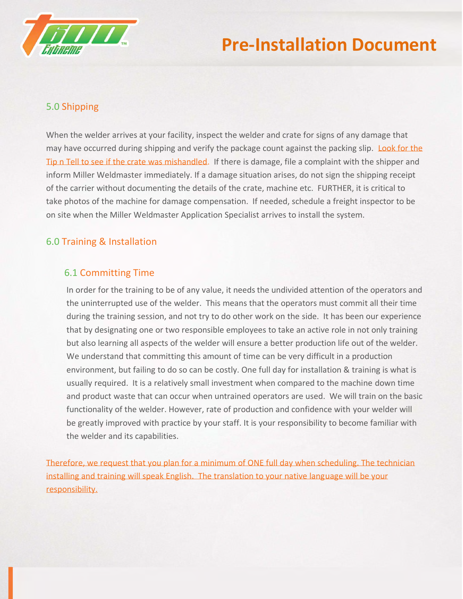

#### 5.0 Shipping

When the welder arrives at your facility, inspect the welder and crate for signs of any damage that may have occurred during shipping and verify the package count against the packing slip. Look for the Tip n Tell to see if the crate was mishandled. If there is damage, file a complaint with the shipper and inform Miller Weldmaster immediately. If a damage situation arises, do not sign the shipping receipt of the carrier without documenting the details of the crate, machine etc. FURTHER, it is critical to take photos of the machine for damage compensation. If needed, schedule a freight inspector to be on site when the Miller Weldmaster Application Specialist arrives to install the system.

#### 6.0 Training & Installation

#### 6.1 Committing Time

In order for the training to be of any value, it needs the undivided attention of the operators and the uninterrupted use of the welder. This means that the operators must commit all their time during the training session, and not try to do other work on the side. It has been our experience that by designating one or two responsible employees to take an active role in not only training but also learning all aspects of the welder will ensure a better production life out of the welder. We understand that committing this amount of time can be very difficult in a production environment, but failing to do so can be costly. One full day for installation & training is what is usually required. It is a relatively small investment when compared to the machine down time and product waste that can occur when untrained operators are used. We will train on the basic functionality of the welder. However, rate of production and confidence with your welder will be greatly improved with practice by your staff. It is your responsibility to become familiar with the welder and its capabilities.

Therefore, we request that you plan for a minimum of ONE full day when scheduling. The technician installing and training will speak English. The translation to your native language will be your responsibility.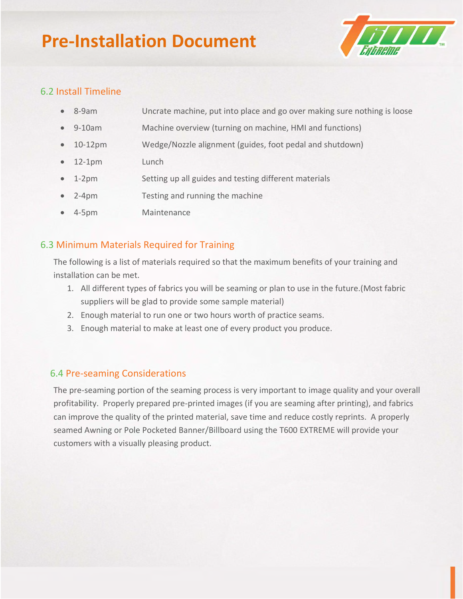

#### 6.2 Install Timeline

| $\bullet$ 8-9am | Uncrate machine, put into place and go over making sure nothing is loose |
|-----------------|--------------------------------------------------------------------------|
|                 |                                                                          |

- 9-10am Machine overview (turning on machine, HMI and functions)
- 10-12pm Wedge/Nozzle alignment (guides, foot pedal and shutdown)
- 12-1pm Lunch
- 1-2pm Setting up all guides and testing different materials
- 2-4pm Testing and running the machine
- 4-5pm Maintenance

#### 6.3 Minimum Materials Required for Training

The following is a list of materials required so that the maximum benefits of your training and installation can be met.

- 1. All different types of fabrics you will be seaming or plan to use in the future.(Most fabric suppliers will be glad to provide some sample material)
- 2. Enough material to run one or two hours worth of practice seams.
- 3. Enough material to make at least one of every product you produce.

#### 6.4 Pre-seaming Considerations

The pre-seaming portion of the seaming process is very important to image quality and your overall profitability. Properly prepared pre-printed images (if you are seaming after printing), and fabrics can improve the quality of the printed material, save time and reduce costly reprints. A properly seamed Awning or Pole Pocketed Banner/Billboard using the T600 EXTREME will provide your customers with a visually pleasing product.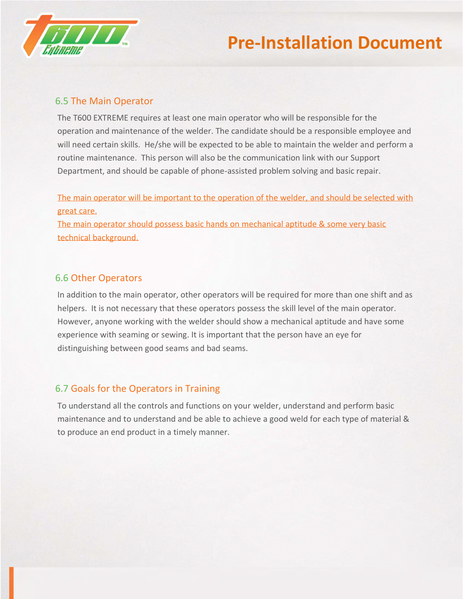

#### 6.5 The Main Operator

The T600 EXTREME requires at least one main operator who will be responsible for the operation and maintenance of the welder. The candidate should be a responsible employee and will need certain skills. He/she will be expected to be able to maintain the welder and perform a routine maintenance. This person will also be the communication link with our Support Department, and should be capable of phone-assisted problem solving and basic repair.

The main operator will be important to the operation of the welder, and should be selected with great care.

The main operator should possess basic hands on mechanical aptitude & some very basic technical background.

#### 6.6 Other Operators

In addition to the main operator, other operators will be required for more than one shift and as helpers. It is not necessary that these operators possess the skill level of the main operator. However, anyone working with the welder should show a mechanical aptitude and have some experience with seaming or sewing. It is important that the person have an eye for distinguishing between good seams and bad seams.

#### 6.7 Goals for the Operators in Training

To understand all the controls and functions on your welder, understand and perform basic maintenance and to understand and be able to achieve a good weld for each type of material & to produce an end product in a timely manner.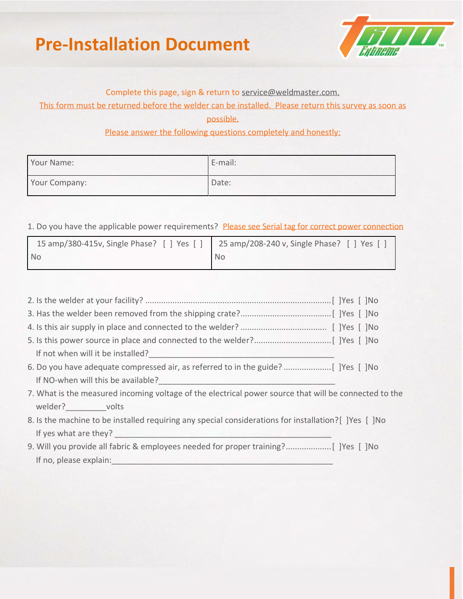

#### Complete this page, sign & return to service@weldmaster.com.

This form must be returned before the welder can be installed. Please return this survey as soon as

possible.

Please answer the following questions completely and honestly:

| Your Name:    | E-mail: |
|---------------|---------|
| Your Company: | Date:   |

1. Do you have the applicable power requirements? Please see Serial tag for correct power connection

| 15 amp/380-415v, Single Phase? [ ] Yes [ ] 25 amp/208-240 v, Single Phase? [ ] Yes [ |    |
|--------------------------------------------------------------------------------------|----|
| <b>No</b>                                                                            | No |

| If not when will it be installed?<br><u> If not when will it be installed?</u>                          |
|---------------------------------------------------------------------------------------------------------|
|                                                                                                         |
| If NO-when will this be available?<br><u>If</u> NO-when will this be available?                         |
| 7. What is the measured incoming voltage of the electrical power source that will be connected to the   |
| welder? volts                                                                                           |
| 8. Is the machine to be installed requiring any special considerations for installation? [ ] Yes [ ] No |
|                                                                                                         |

9. Will you provide all fabric & employees needed for proper training?....................[ ]Yes [ ]No If no, please explain: